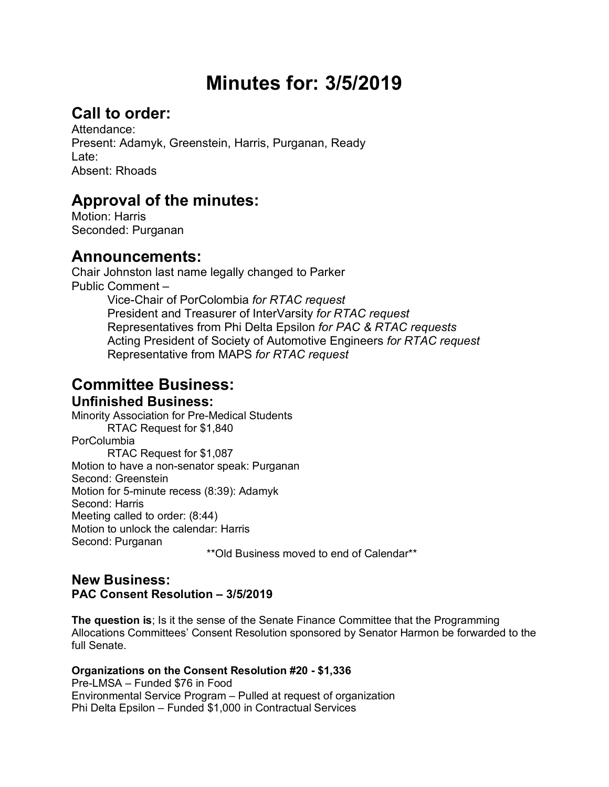# **Minutes for: 3/5/2019**

## **Call to order:**

Attendance: Present: Adamyk, Greenstein, Harris, Purganan, Ready Late: Absent: Rhoads

## **Approval of the minutes:**

Motion: Harris Seconded: Purganan

### **Announcements:**

Chair Johnston last name legally changed to Parker Public Comment – Vice-Chair of PorColombia *for RTAC request* President and Treasurer of InterVarsity *for RTAC request* Representatives from Phi Delta Epsilon *for PAC & RTAC requests* Acting President of Society of Automotive Engineers *for RTAC request* Representative from MAPS *for RTAC request*

#### **Committee Business: Unfinished Business:**

Minority Association for Pre-Medical Students RTAC Request for \$1,840 **PorColumbia** RTAC Request for \$1,087 Motion to have a non-senator speak: Purganan Second: Greenstein Motion for 5-minute recess (8:39): Adamyk Second: Harris Meeting called to order: (8:44) Motion to unlock the calendar: Harris Second: Purganan

\*\*Old Business moved to end of Calendar\*\*

#### **New Business: PAC Consent Resolution – 3/5/2019**

**The question is**; Is it the sense of the Senate Finance Committee that the Programming Allocations Committees' Consent Resolution sponsored by Senator Harmon be forwarded to the full Senate.

#### **Organizations on the Consent Resolution #20 - \$1,336**

Pre-LMSA – Funded \$76 in Food Environmental Service Program – Pulled at request of organization Phi Delta Epsilon – Funded \$1,000 in Contractual Services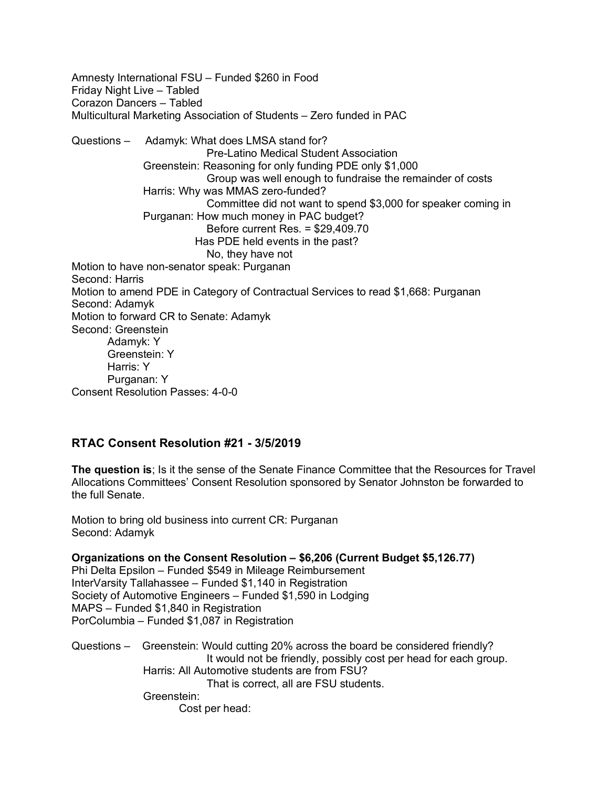Amnesty International FSU – Funded \$260 in Food Friday Night Live – Tabled Corazon Dancers – Tabled Multicultural Marketing Association of Students – Zero funded in PAC Questions – Adamyk: What does LMSA stand for? Pre-Latino Medical Student Association Greenstein: Reasoning for only funding PDE only \$1,000 Group was well enough to fundraise the remainder of costs Harris: Why was MMAS zero-funded? Committee did not want to spend \$3,000 for speaker coming in Purganan: How much money in PAC budget? Before current Res. = \$29,409.70 Has PDE held events in the past? No, they have not Motion to have non-senator speak: Purganan Second: Harris Motion to amend PDE in Category of Contractual Services to read \$1,668: Purganan Second: Adamyk Motion to forward CR to Senate: Adamyk Second: Greenstein Adamyk: Y Greenstein: Y Harris: Y Purganan: Y Consent Resolution Passes: 4-0-0

#### **RTAC Consent Resolution #21 - 3/5/2019**

**The question is**; Is it the sense of the Senate Finance Committee that the Resources for Travel Allocations Committees' Consent Resolution sponsored by Senator Johnston be forwarded to the full Senate.

Motion to bring old business into current CR: Purganan Second: Adamyk

**Organizations on the Consent Resolution – \$6,206 (Current Budget \$5,126.77)** Phi Delta Epsilon – Funded \$549 in Mileage Reimbursement InterVarsity Tallahassee – Funded \$1,140 in Registration Society of Automotive Engineers – Funded \$1,590 in Lodging MAPS – Funded \$1,840 in Registration PorColumbia – Funded \$1,087 in Registration

Questions – Greenstein: Would cutting 20% across the board be considered friendly? It would not be friendly, possibly cost per head for each group. Harris: All Automotive students are from FSU? That is correct, all are FSU students. Greenstein: Cost per head: